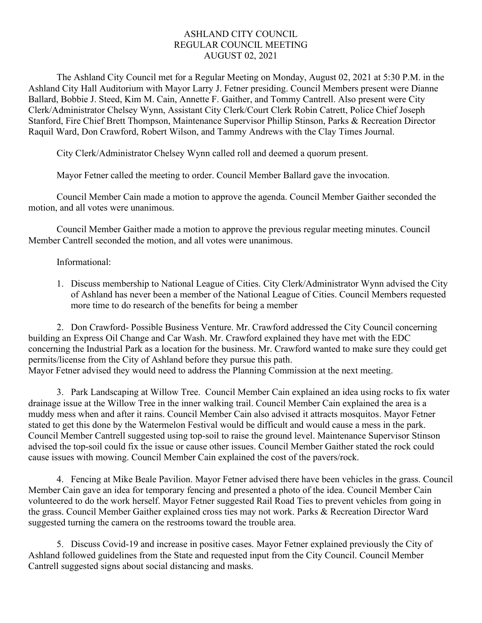## ASHLAND CITY COUNCIL REGULAR COUNCIL MEETING AUGUST 02, 2021

The Ashland City Council met for a Regular Meeting on Monday, August 02, 2021 at 5:30 P.M. in the Ashland City Hall Auditorium with Mayor Larry J. Fetner presiding. Council Members present were Dianne Ballard, Bobbie J. Steed, Kim M. Cain, Annette F. Gaither, and Tommy Cantrell. Also present were City Clerk/Administrator Chelsey Wynn, Assistant City Clerk/Court Clerk Robin Catrett, Police Chief Joseph Stanford, Fire Chief Brett Thompson, Maintenance Supervisor Phillip Stinson, Parks & Recreation Director Raquil Ward, Don Crawford, Robert Wilson, and Tammy Andrews with the Clay Times Journal.

City Clerk/Administrator Chelsey Wynn called roll and deemed a quorum present.

Mayor Fetner called the meeting to order. Council Member Ballard gave the invocation.

Council Member Cain made a motion to approve the agenda. Council Member Gaither seconded the motion, and all votes were unanimous.

Council Member Gaither made a motion to approve the previous regular meeting minutes. Council Member Cantrell seconded the motion, and all votes were unanimous.

## Informational:

1. Discuss membership to National League of Cities. City Clerk/Administrator Wynn advised the City of Ashland has never been a member of the National League of Cities. Council Members requested more time to do research of the benefits for being a member

2. Don Crawford- Possible Business Venture. Mr. Crawford addressed the City Council concerning building an Express Oil Change and Car Wash. Mr. Crawford explained they have met with the EDC concerning the Industrial Park as a location for the business. Mr. Crawford wanted to make sure they could get permits/license from the City of Ashland before they pursue this path. Mayor Fetner advised they would need to address the Planning Commission at the next meeting.

3. Park Landscaping at Willow Tree. Council Member Cain explained an idea using rocks to fix water drainage issue at the Willow Tree in the inner walking trail. Council Member Cain explained the area is a muddy mess when and after it rains. Council Member Cain also advised it attracts mosquitos. Mayor Fetner stated to get this done by the Watermelon Festival would be difficult and would cause a mess in the park. Council Member Cantrell suggested using top-soil to raise the ground level. Maintenance Supervisor Stinson advised the top-soil could fix the issue or cause other issues. Council Member Gaither stated the rock could cause issues with mowing. Council Member Cain explained the cost of the pavers/rock.

4. Fencing at Mike Beale Pavilion. Mayor Fetner advised there have been vehicles in the grass. Council Member Cain gave an idea for temporary fencing and presented a photo of the idea. Council Member Cain volunteered to do the work herself. Mayor Fetner suggested Rail Road Ties to prevent vehicles from going in the grass. Council Member Gaither explained cross ties may not work. Parks & Recreation Director Ward suggested turning the camera on the restrooms toward the trouble area.

5. Discuss Covid-19 and increase in positive cases. Mayor Fetner explained previously the City of Ashland followed guidelines from the State and requested input from the City Council. Council Member Cantrell suggested signs about social distancing and masks.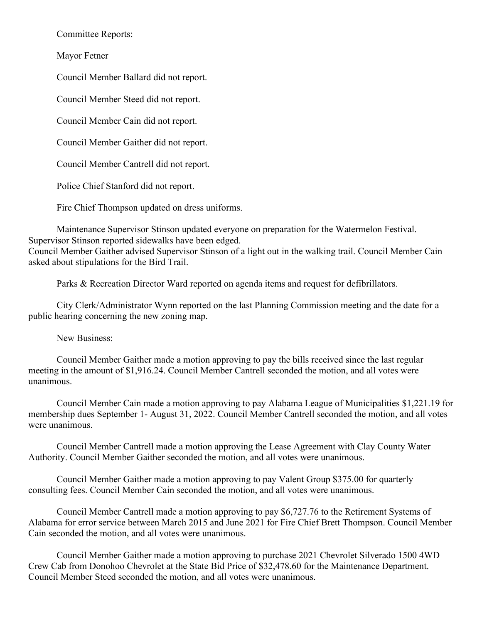Committee Reports:

Mayor Fetner

Council Member Ballard did not report.

Council Member Steed did not report.

Council Member Cain did not report.

Council Member Gaither did not report.

Council Member Cantrell did not report.

Police Chief Stanford did not report.

Fire Chief Thompson updated on dress uniforms.

Maintenance Supervisor Stinson updated everyone on preparation for the Watermelon Festival. Supervisor Stinson reported sidewalks have been edged.

Council Member Gaither advised Supervisor Stinson of a light out in the walking trail. Council Member Cain asked about stipulations for the Bird Trail.

Parks & Recreation Director Ward reported on agenda items and request for defibrillators.

City Clerk/Administrator Wynn reported on the last Planning Commission meeting and the date for a public hearing concerning the new zoning map.

New Business:

Council Member Gaither made a motion approving to pay the bills received since the last regular meeting in the amount of \$1,916.24. Council Member Cantrell seconded the motion, and all votes were unanimous.

Council Member Cain made a motion approving to pay Alabama League of Municipalities \$1,221.19 for membership dues September 1- August 31, 2022. Council Member Cantrell seconded the motion, and all votes were unanimous.

Council Member Cantrell made a motion approving the Lease Agreement with Clay County Water Authority. Council Member Gaither seconded the motion, and all votes were unanimous.

Council Member Gaither made a motion approving to pay Valent Group \$375.00 for quarterly consulting fees. Council Member Cain seconded the motion, and all votes were unanimous.

Council Member Cantrell made a motion approving to pay \$6,727.76 to the Retirement Systems of Alabama for error service between March 2015 and June 2021 for Fire Chief Brett Thompson. Council Member Cain seconded the motion, and all votes were unanimous.

Council Member Gaither made a motion approving to purchase 2021 Chevrolet Silverado 1500 4WD Crew Cab from Donohoo Chevrolet at the State Bid Price of \$32,478.60 for the Maintenance Department. Council Member Steed seconded the motion, and all votes were unanimous.